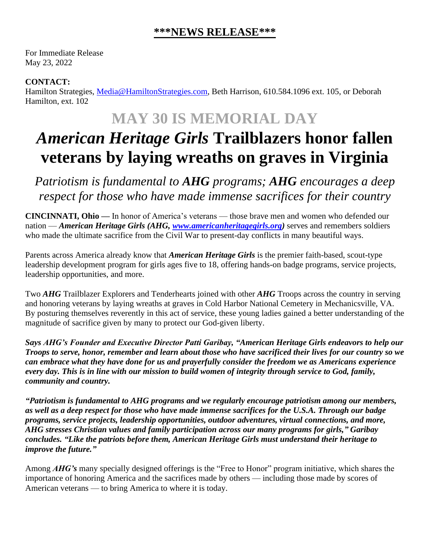## **\*\*\*NEWS RELEASE\*\*\***

For Immediate Release May 23, 2022

## **CONTACT:**

Hamilton Strategies, [Media@HamiltonStrategies.com,](mailto:Media@HamiltonStrategies.com) Beth Harrison, 610.584.1096 ext. 105, or Deborah Hamilton, ext. 102

## **MAY 30 IS MEMORIAL DAY**

## *American Heritage Girls* **Trailblazers honor fallen veterans by laying wreaths on graves in Virginia**

*Patriotism is fundamental to AHG programs; AHG encourages a deep respect for those who have made immense sacrifices for their country*

**CINCINNATI, Ohio —** In honor of America's veterans — those brave men and women who defended our nation — *American Heritage Girls (AHG, [www.americanheritagegirls.org\)](http://www.americanheritagegirls.org/)* serves and remembers soldiers who made the ultimate sacrifice from the Civil War to present-day conflicts in many beautiful ways.

Parents across America already know that *American Heritage Girls* is the premier faith-based, scout-type leadership development program for girls ages five to 18, offering hands-on badge programs, service projects, leadership opportunities, and more.

Two *AHG* Trailblazer Explorers and Tenderhearts joined with other *AHG* Troops across the country in serving and honoring veterans by laying wreaths at graves in Cold Harbor National Cemetery in Mechanicsville, VA. By posturing themselves reverently in this act of service, these young ladies gained a better understanding of the magnitude of sacrifice given by many to protect our God-given liberty.

*Says AHG's Founder and Executive Director Patti Garibay, "American Heritage Girls endeavors to help our Troops to serve, honor, remember and learn about those who have sacrificed their lives for our country so we can embrace what they have done for us and prayerfully consider the freedom we as Americans experience every day. This is in line with our mission to build women of integrity through service to God, family, community and country.*

*"Patriotism is fundamental to AHG programs and we regularly encourage patriotism among our members, as well as a deep respect for those who have made immense sacrifices for the U.S.A. Through our badge programs, service projects, leadership opportunities, outdoor adventures, virtual connections, and more, AHG stresses Christian values and family participation across our many programs for girls," Garibay concludes. "Like the patriots before them, American Heritage Girls must understand their heritage to improve the future."*

Among *AHG's* many specially designed offerings is the "Free to Honor" program initiative, which shares the importance of honoring America and the sacrifices made by others — including those made by scores of American veterans — to bring America to where it is today.